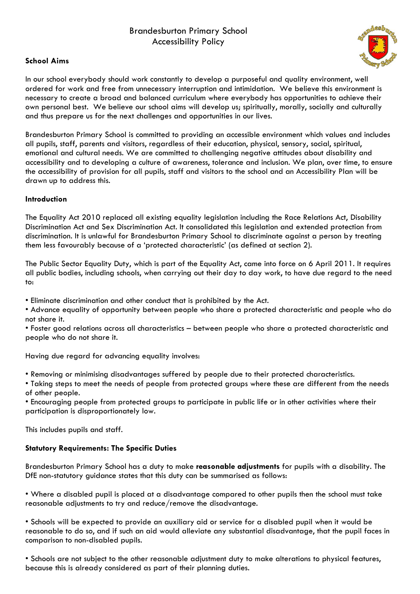# Brandesburton Primary School Accessibility Policy

## **School Aims**



In our school everybody should work constantly to develop a purposeful and quality environment, well ordered for work and free from unnecessary interruption and intimidation. We believe this environment is necessary to create a broad and balanced curriculum where everybody has opportunities to achieve their own personal best. We believe our school aims will develop us; spiritually, morally, socially and culturally and thus prepare us for the next challenges and opportunities in our lives.

Brandesburton Primary School is committed to providing an accessible environment which values and includes all pupils, staff, parents and visitors, regardless of their education, physical, sensory, social, spiritual, emotional and cultural needs. We are committed to challenging negative attitudes about disability and accessibility and to developing a culture of awareness, tolerance and inclusion. We plan, over time, to ensure the accessibility of provision for all pupils, staff and visitors to the school and an Accessibility Plan will be drawn up to address this.

### **Introduction**

The Equality Act 2010 replaced all existing equality legislation including the Race Relations Act, Disability Discrimination Act and Sex Discrimination Act. It consolidated this legislation and extended protection from discrimination. It is unlawful for Brandesburton Primary School to discriminate against a person by treating them less favourably because of a 'protected characteristic' (as defined at section 2).

The Public Sector Equality Duty, which is part of the Equality Act, came into force on 6 April 2011. It requires all public bodies, including schools, when carrying out their day to day work, to have due regard to the need to:

• Eliminate discrimination and other conduct that is prohibited by the Act.

• Advance equality of opportunity between people who share a protected characteristic and people who do not share it.

• Foster good relations across all characteristics – between people who share a protected characteristic and people who do not share it.

Having due regard for advancing equality involves:

• Removing or minimising disadvantages suffered by people due to their protected characteristics.

• Taking steps to meet the needs of people from protected groups where these are different from the needs of other people.

• Encouraging people from protected groups to participate in public life or in other activities where their participation is disproportionately low.

This includes pupils and staff.

### **Statutory Requirements: The Specific Duties**

Brandesburton Primary School has a duty to make **reasonable adjustments** for pupils with a disability. The DfE non-statutory guidance states that this duty can be summarised as follows:

• Where a disabled pupil is placed at a disadvantage compared to other pupils then the school must take reasonable adjustments to try and reduce/remove the disadvantage.

• Schools will be expected to provide an auxiliary aid or service for a disabled pupil when it would be reasonable to do so, and if such an aid would alleviate any substantial disadvantage, that the pupil faces in comparison to non-disabled pupils.

• Schools are not subject to the other reasonable adjustment duty to make alterations to physical features, because this is already considered as part of their planning duties.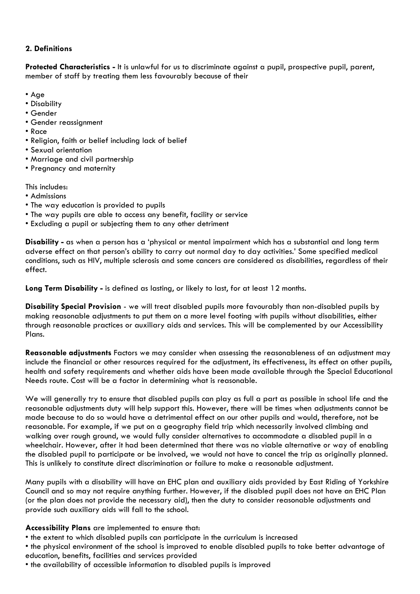# **2. Definitions**

**Protected Characteristics -** It is unlawful for us to discriminate against a pupil, prospective pupil, parent, member of staff by treating them less favourably because of their

- Age
- Disability
- Gender
- Gender reassignment
- Race
- Religion, faith or belief including lack of belief
- Sexual orientation
- Marriage and civil partnership
- Pregnancy and maternity

This includes:

- Admissions
- The way education is provided to pupils
- The way pupils are able to access any benefit, facility or service
- Excluding a pupil or subjecting them to any other detriment

**Disability -** as when a person has a 'physical or mental impairment which has a substantial and long term adverse effect on that person's ability to carry out normal day to day activities.' Some specified medical conditions, such as HIV, multiple sclerosis and some cancers are considered as disabilities, regardless of their effect.

**Long Term Disability -** is defined as lasting, or likely to last, for at least 12 months.

**Disability Special Provision** - we will treat disabled pupils more favourably than non-disabled pupils by making reasonable adjustments to put them on a more level footing with pupils without disabilities, either through reasonable practices or auxiliary aids and services. This will be complemented by our Accessibility Plans.

**Reasonable adjustments** Factors we may consider when assessing the reasonableness of an adjustment may include the financial or other resources required for the adjustment, its effectiveness, its effect on other pupils, health and safety requirements and whether aids have been made available through the Special Educational Needs route. Cost will be a factor in determining what is reasonable.

We will generally try to ensure that disabled pupils can play as full a part as possible in school life and the reasonable adjustments duty will help support this. However, there will be times when adjustments cannot be made because to do so would have a detrimental effect on our other pupils and would, therefore, not be reasonable. For example, if we put on a geography field trip which necessarily involved climbing and walking over rough ground, we would fully consider alternatives to accommodate a disabled pupil in a wheelchair. However, after it had been determined that there was no viable alternative or way of enabling the disabled pupil to participate or be involved, we would not have to cancel the trip as originally planned. This is unlikely to constitute direct discrimination or failure to make a reasonable adjustment.

Many pupils with a disability will have an EHC plan and auxiliary aids provided by East Riding of Yorkshire Council and so may not require anything further. However, if the disabled pupil does not have an EHC Plan (or the plan does not provide the necessary aid), then the duty to consider reasonable adjustments and provide such auxiliary aids will fall to the school.

### **Accessibility Plans** are implemented to ensure that:

- the extent to which disabled pupils can participate in the curriculum is increased
- the physical environment of the school is improved to enable disabled pupils to take better advantage of education, benefits, facilities and services provided
- the availability of accessible information to disabled pupils is improved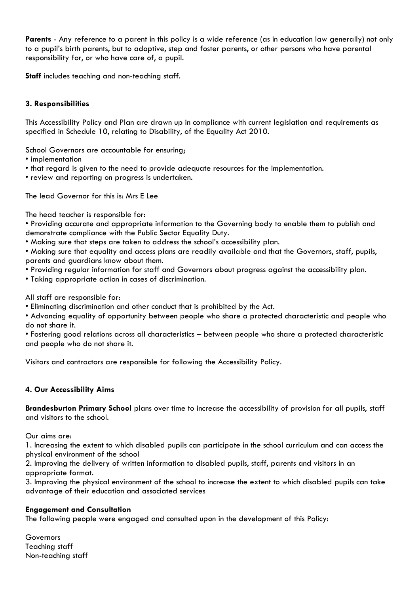**Parents** - Any reference to a parent in this policy is a wide reference (as in education law generally) not only to a pupil's birth parents, but to adoptive, step and foster parents, or other persons who have parental responsibility for, or who have care of, a pupil.

**Staff** includes teaching and non-teaching staff.

### **3. Responsibilities**

This Accessibility Policy and Plan are drawn up in compliance with current legislation and requirements as specified in Schedule 10, relating to Disability, of the Equality Act 2010.

School Governors are accountable for ensuring;

- implementation
- that regard is given to the need to provide adequate resources for the implementation.
- review and reporting on progress is undertaken.

The lead Governor for this is: Mrs E Lee

The head teacher is responsible for:

• Providing accurate and appropriate information to the Governing body to enable them to publish and demonstrate compliance with the Public Sector Equality Duty.

• Making sure that steps are taken to address the school's accessibility plan.

• Making sure that equality and access plans are readily available and that the Governors, staff, pupils, parents and guardians know about them.

• Providing regular information for staff and Governors about progress against the accessibility plan.

• Taking appropriate action in cases of discrimination.

All staff are responsible for:

- Eliminating discrimination and other conduct that is prohibited by the Act.
- Advancing equality of opportunity between people who share a protected characteristic and people who do not share it.

• Fostering good relations across all characteristics – between people who share a protected characteristic and people who do not share it.

Visitors and contractors are responsible for following the Accessibility Policy.

### **4. Our Accessibility Aims**

**Brandesburton Primary School** plans over time to increase the accessibility of provision for all pupils, staff and visitors to the school.

Our aims are:

1. Increasing the extent to which disabled pupils can participate in the school curriculum and can access the physical environment of the school

2. Improving the delivery of written information to disabled pupils, staff, parents and visitors in an appropriate format.

3. Improving the physical environment of the school to increase the extent to which disabled pupils can take advantage of their education and associated services

#### **Engagement and Consultation**

The following people were engaged and consulted upon in the development of this Policy:

Governors Teaching staff Non-teaching staff